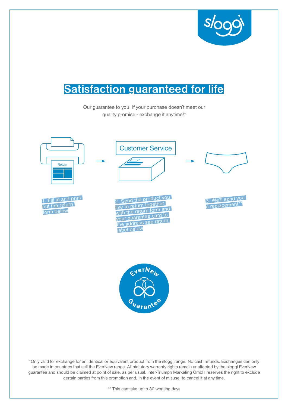

# Satisfaction guaranteed for life

Guarantee

Guarantee

1A87SK

Our guarantee to you: if your purchase doesn't meet our quality promise - exchange it anytime!\*



\*Only valid for exchange for an identical or equivalent product from the sloggi range. No cash refunds. Exchanges can only be made in countries that sell the EverNew range. All statutory warranty rights remain unaffected by the sloggi EverNew guarantee and should be claimed at point of sale, as per usual. Inter-Triumph Marketing GmbH reserves the right to exclude certain parties from this promotion and, in the event of misuse, to cancel it at any time.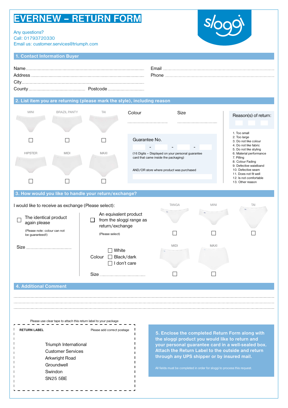## EVERNEW – RETURN FORM

Any questions? Call: 01793720330

HIPSTER

 $\Box$ 

4. Do not like fabric 5. Do not like styling 6. Material performance

7. Pilling 8. Colour Fading 9. Defective waistband 10. Defective seam 11. Does not fit well 12. Is not comfortable 13. Other reason

1. Contact Information Buyer

Email us: customer.services@triumph.com

| <b>1. Contact Information Buyer</b> |                     |     |                                                                          |             |  |                                                       |
|-------------------------------------|---------------------|-----|--------------------------------------------------------------------------|-------------|--|-------------------------------------------------------|
| Name<br>Address.<br>City.           |                     |     |                                                                          | Email       |  |                                                       |
|                                     |                     |     | 2. List item you are returning (please mark the style), including reason |             |  |                                                       |
| <b>MINI</b>                         | <b>BRAZIL PANTY</b> | TAI | Colour                                                                   | <b>Size</b> |  | Reason(s) of return:                                  |
|                                     |                     |     | Guarantee No.                                                            |             |  | 1. Too small<br>2. Too large<br>3. Do not like colour |

(16 Digits – Displayed on your personal guarantee

- - -

AND/OR store where product was purchased

card that came inside the packaging)

MAXI

 $\Box$ 

MIDI

 $\Box$ 

| 3. How would you like to handle your return/exchange?<br>I would like to receive as exchange (Please select): |                                                                       | <b>TANGA</b>                             | <b>MINI</b> | TAI |
|---------------------------------------------------------------------------------------------------------------|-----------------------------------------------------------------------|------------------------------------------|-------------|-----|
| The identical product<br>again please<br>(Please note: colour can not<br>be guaranteed!)                      | <b>P.A. PARTIES - 19</b>                                              | <b>Our Comments</b>                      |             |     |
| Size                                                                                                          | White<br>Black/dark<br>Colour<br>$\blacksquare$<br>don't care<br>Size | <b>MIDI</b><br><b>ANTI SALES AND LOT</b> | MAXI        |     |
| <b>4. Additional Comment</b>                                                                                  |                                                                       |                                          |             |     |

Please use clear tape to attach this return label to your package  $-$ 

| <b>RETURN LABEL</b> |                                                                                                                 | Please add correct postage |
|---------------------|-----------------------------------------------------------------------------------------------------------------|----------------------------|
|                     | Triumph International<br><b>Customer Services</b><br>Arkwright Road<br>Groundwell<br>Swindon<br><b>SN25 5BE</b> |                            |

5. Enclose the completed Return Form along with the sloggi product you would like to return and your personal guarantee card in a well-sealed box. Attach the Return Label to the outside and return through any UPS shipper or by insured mail.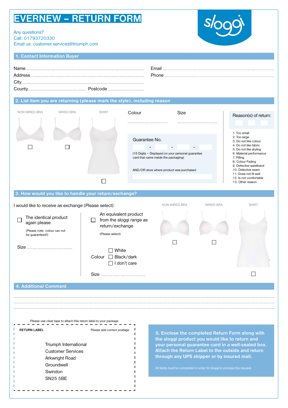## EVERNEW – RETURN FORM

### Any questions?

Call: 01793720330 Email us: customer.services@triumph.com



1. Contact Information Buyer

| Name<br>Address | <b>Email</b> Francisco |
|-----------------|------------------------|
| Citv.           |                        |

### 2. List item you are returning (please mark the style), including reason

| <b>NON WIRED BRA</b> | <b>WIRED BRA</b> | <b>SHIRT</b> | Colour                                                                                    | <b>Size</b>              | Reason(s) of return:                                                                |
|----------------------|------------------|--------------|-------------------------------------------------------------------------------------------|--------------------------|-------------------------------------------------------------------------------------|
|                      |                  |              |                                                                                           |                          |                                                                                     |
|                      |                  |              |                                                                                           |                          | 1. Too small                                                                        |
|                      |                  |              | Guarantee No.                                                                             |                          | 2. Too large<br>3. Do not like colour                                               |
|                      |                  |              | $\overline{\phantom{0}}$                                                                  | $\overline{\phantom{0}}$ | 4. Do not like fabric<br>5. Do not like styling                                     |
|                      |                  |              | (16 Digits - Displayed on your personal guarantee<br>card that came inside the packaging) |                          | 6. Material performance<br>7. Pilling<br>8. Colour Fading<br>9. Defective waistband |
|                      |                  |              | AND/OR store where product was purchased                                                  |                          | 10. Defective seam<br>11. Does not fit well                                         |
|                      |                  |              |                                                                                           |                          | 12. Is not comfortable                                                              |
|                      |                  |              |                                                                                           |                          | 13. Other reason                                                                    |

#### 3. How would you like to handle your return/exchange?

| I would like to receive as exchange (Please select):                                     | NON WIRED BRA                                                                                  | <b>WIRED BRA</b> | <b>SHIRT</b> |  |
|------------------------------------------------------------------------------------------|------------------------------------------------------------------------------------------------|------------------|--------------|--|
| The identical product<br>again please<br>(Please note: colour can not<br>be guaranteed!) | An equivalent product<br>from the sloggi range as<br>l 1<br>return/exchange<br>(Please select) |                  |              |  |
| Size.                                                                                    | White<br>Black/dark<br>Colour<br>$\mathbf{L}$<br>don't care<br><b>Size</b>                     |                  |              |  |
| <b>4. Additional Comment</b>                                                             |                                                                                                |                  |              |  |

Please use clear tape to attach this return label to your package  $-$  -  $-$ 

| <b>RETURN LABEL</b> |                                                                                                                 | Please add correct postage |
|---------------------|-----------------------------------------------------------------------------------------------------------------|----------------------------|
|                     | Triumph International<br><b>Customer Services</b><br>Arkwright Road<br>Groundwell<br>Swindon<br><b>SN25 5BE</b> |                            |

5. Enclose the completed Return Form along with the sloggi product you would like to return and your personal guarantee card in a well-sealed box. Attach the Return Label to the outside and return through any UPS shipper or by insured mail.